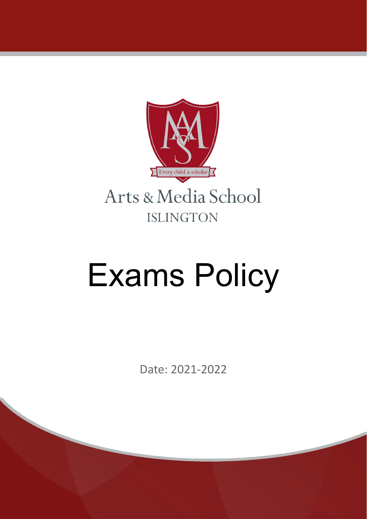

# Exams Policy

Date: 2021-2022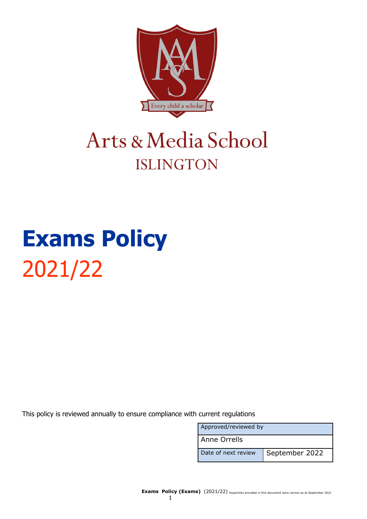

# Arts & Media School **ISLINGTON**

# **Exams Policy** 2021/22

This policy is reviewed annually to ensure compliance with current regulations

| Approved/reviewed by |                |  |
|----------------------|----------------|--|
| l Anne Orrells       |                |  |
| Date of next review  | September 2022 |  |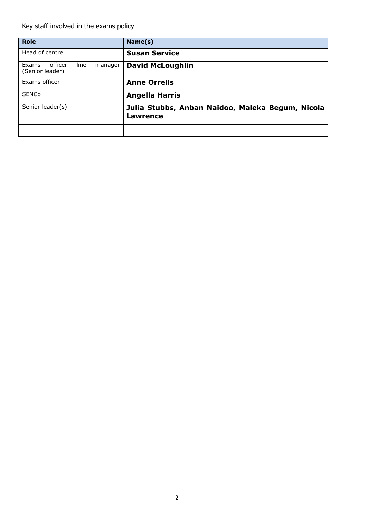Key staff involved in the exams policy

| <b>Role</b>                                            | Name(s)                                                      |
|--------------------------------------------------------|--------------------------------------------------------------|
| Head of centre                                         | <b>Susan Service</b>                                         |
| officer<br>Exams<br>line<br>manager<br>(Senior leader) | <b>David McLoughlin</b>                                      |
| Exams officer                                          | <b>Anne Orrells</b>                                          |
| <b>SENCo</b>                                           | <b>Angella Harris</b>                                        |
| Senior leader(s)                                       | Julia Stubbs, Anban Naidoo, Maleka Begum, Nicola<br>Lawrence |
|                                                        |                                                              |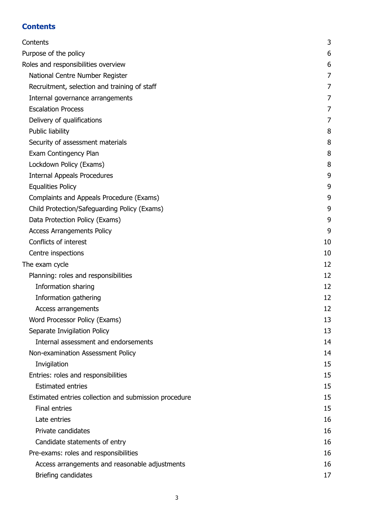# <span id="page-3-0"></span>**Contents**

| Contents                                              | 3              |
|-------------------------------------------------------|----------------|
| Purpose of the policy                                 | 6              |
| Roles and responsibilities overview                   | 6              |
| National Centre Number Register                       | $\overline{7}$ |
| Recruitment, selection and training of staff          | 7              |
| Internal governance arrangements                      | $\overline{7}$ |
| <b>Escalation Process</b>                             | 7              |
| Delivery of qualifications                            | $\overline{7}$ |
| Public liability                                      | 8              |
| Security of assessment materials                      | 8              |
| Exam Contingency Plan                                 | 8              |
| Lockdown Policy (Exams)                               | 8              |
| <b>Internal Appeals Procedures</b>                    | 9              |
| <b>Equalities Policy</b>                              | 9              |
| Complaints and Appeals Procedure (Exams)              | 9              |
| Child Protection/Safeguarding Policy (Exams)          | 9              |
| Data Protection Policy (Exams)                        | 9              |
| <b>Access Arrangements Policy</b>                     | 9              |
| Conflicts of interest                                 | 10             |
| Centre inspections                                    | 10             |
| The exam cycle                                        | 12             |
| Planning: roles and responsibilities                  | 12             |
| Information sharing                                   | 12             |
| Information gathering                                 | 12             |
| Access arrangements                                   | 12             |
| Word Processor Policy (Exams)                         | 13             |
| Separate Invigilation Policy                          | 13             |
| Internal assessment and endorsements                  | 14             |
| Non-examination Assessment Policy                     | 14             |
| Invigilation                                          | 15             |
| Entries: roles and responsibilities                   | 15             |
| <b>Estimated entries</b>                              | 15             |
| Estimated entries collection and submission procedure | 15             |
| <b>Final entries</b>                                  | 15             |
| Late entries                                          | 16             |
| Private candidates                                    | 16             |
| Candidate statements of entry                         | 16             |
| Pre-exams: roles and responsibilities                 | 16             |
| Access arrangements and reasonable adjustments        | 16             |
| Briefing candidates                                   | 17             |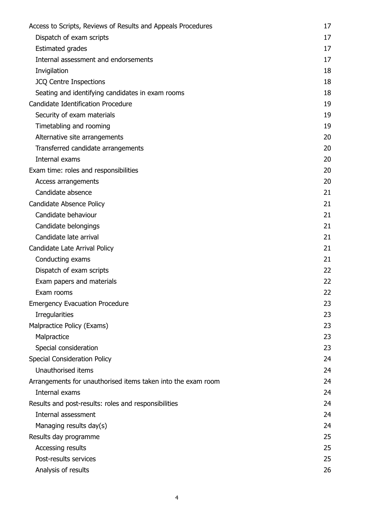| Access to Scripts, Reviews of Results and Appeals Procedures | 17 |
|--------------------------------------------------------------|----|
| Dispatch of exam scripts                                     | 17 |
| <b>Estimated grades</b>                                      | 17 |
| Internal assessment and endorsements                         | 17 |
| Invigilation                                                 | 18 |
| <b>JCQ Centre Inspections</b>                                | 18 |
| Seating and identifying candidates in exam rooms             | 18 |
| Candidate Identification Procedure                           | 19 |
| Security of exam materials                                   | 19 |
| Timetabling and rooming                                      | 19 |
| Alternative site arrangements                                | 20 |
| Transferred candidate arrangements                           | 20 |
| Internal exams                                               | 20 |
| Exam time: roles and responsibilities                        | 20 |
| Access arrangements                                          | 20 |
| Candidate absence                                            | 21 |
| Candidate Absence Policy                                     | 21 |
| Candidate behaviour                                          | 21 |
| Candidate belongings                                         | 21 |
| Candidate late arrival                                       | 21 |
| Candidate Late Arrival Policy                                | 21 |
| Conducting exams                                             | 21 |
| Dispatch of exam scripts                                     | 22 |
| Exam papers and materials                                    | 22 |
| Exam rooms                                                   | 22 |
| <b>Emergency Evacuation Procedure</b>                        | 23 |
| <b>Irregularities</b>                                        | 23 |
| Malpractice Policy (Exams)                                   | 23 |
| Malpractice                                                  | 23 |
| Special consideration                                        | 23 |
| <b>Special Consideration Policy</b>                          | 24 |
| Unauthorised items                                           | 24 |
| Arrangements for unauthorised items taken into the exam room | 24 |
| Internal exams                                               | 24 |
| Results and post-results: roles and responsibilities         | 24 |
| Internal assessment                                          | 24 |
| Managing results day(s)                                      | 24 |
| Results day programme                                        | 25 |
| Accessing results                                            | 25 |
| Post-results services                                        | 25 |
| Analysis of results                                          | 26 |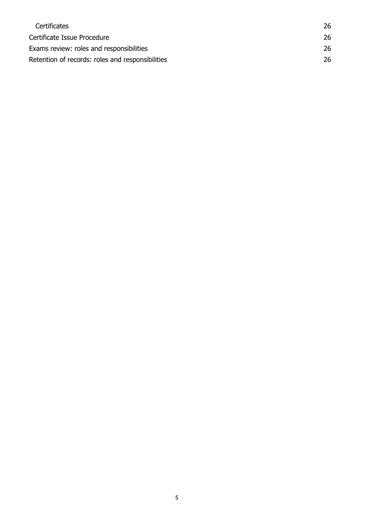| <b>Certificates</b>                              | 26 |
|--------------------------------------------------|----|
| Certificate Issue Procedure                      | 26 |
| Exams review: roles and responsibilities         | 26 |
| Retention of records: roles and responsibilities | 26 |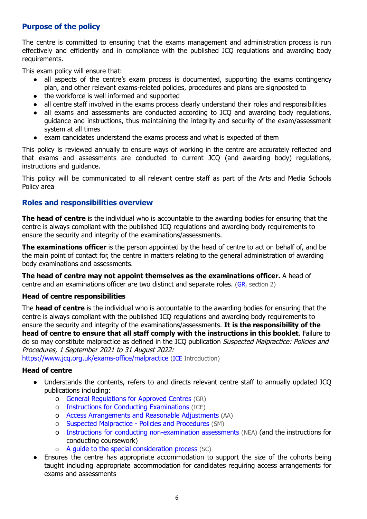# <span id="page-6-0"></span>**Purpose of the policy**

The centre is committed to ensuring that the exams management and administration process is run effectively and efficiently and in compliance with the published JCQ regulations and awarding body requirements.

This exam policy will ensure that:

- all aspects of the centre's exam process is documented, supporting the exams contingency plan, and other relevant exams-related policies, procedures and plans are signposted to
- the workforce is well informed and supported
- all centre staff involved in the exams process clearly understand their roles and responsibilities
- all exams and assessments are conducted according to JCQ and awarding body regulations, guidance and instructions, thus maintaining the integrity and security of the exam/assessment system at all times
- exam candidates understand the exams process and what is expected of them

This policy is reviewed annually to ensure ways of working in the centre are accurately reflected and that exams and assessments are conducted to current JCQ (and awarding body) regulations, instructions and guidance.

This policy will be communicated to all relevant centre staff as part of the Arts and Media Schools Policy area

# <span id="page-6-1"></span>**Roles and responsibilities overview**

**The head of centre** is the individual who is accountable to the awarding bodies for ensuring that the centre is always compliant with the published JCQ regulations and awarding body requirements to ensure the security and integrity of the examinations/assessments.

**The examinations officer** is the person appointed by the head of centre to act on behalf of, and be the main point of contact for, the centre in matters relating to the general administration of awarding body examinations and assessments.

**The head of centre may not appoint themselves as the examinations officer.** A head of centre and an examinations officer are two distinct and separate roles.  $(GR, \text{section } 2)$  $(GR, \text{section } 2)$  $(GR, \text{section } 2)$ 

# **Head of centre responsibilities**

The **head of centre** is the individual who is accountable to the awarding bodies for ensuring that the centre is always compliant with the published JCQ regulations and awarding body requirements to ensure the security and integrity of the examinations/assessments. **It is the responsibility of the head of centre to ensure that all staff comply with the instructions in this booklet**. Failure to do so may constitute malpractice as defined in the JCO publication Suspected Malpractice: Policies and Procedures, 1 September 2021 to 31 August 2022:

<https://www.jcq.org.uk/exams-office/malpractice> ([ICE](http://www.jcq.org.uk/exams-office/ice---instructions-for-conducting-examinations) Introduction)

# **Head of centre**

- Understands the contents, refers to and directs relevant centre staff to annually updated JCQ publications including:
	- o General [Regulations](http://www.jcq.org.uk/exams-office/general-regulations) for Approved Centres (GR)
	- o Instructions for Conducting [Examinations](http://www.jcq.org.uk/exams-office/ice---instructions-for-conducting-examinations) (ICE)
	- o Access [Arrangements](http://www.jcq.org.uk/exams-office/access-arrangements-and-special-consideration/regulations-and-guidance) and Reasonable Adjustments (AA)
	- o Suspected [Malpractice](http://www.jcq.org.uk/exams-office/malpractice) Policies and Procedures (SM)
	- o Instructions for conducting [non-examination](http://www.jcq.org.uk/exams-office/non-examination-assessments) assessments (NEA) (and the instructions for conducting coursework)
	- o A guide to the special [consideration](http://www.jcq.org.uk/exams-office/access-arrangements-and-special-consideration/regulations-and-guidance) process (SC)
- Ensures the centre has appropriate accommodation to support the size of the cohorts being taught including appropriate accommodation for candidates requiring access arrangements for exams and assessments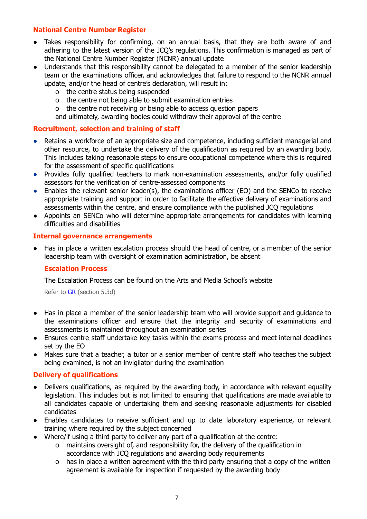# <span id="page-7-0"></span>**National Centre Number Register**

- Takes responsibility for confirming, on an annual basis, that they are both aware of and adhering to the latest version of the JCQ's regulations. This confirmation is managed as part of the National Centre Number Register (NCNR) annual update
- Understands that this responsibility cannot be delegated to a member of the senior leadership team or the examinations officer, and acknowledges that failure to respond to the NCNR annual update, and/or the head of centre's declaration, will result in:
	- o the centre status being suspended
	- o the centre not being able to submit examination entries
	- o the centre not receiving or being able to access question papers
	- and ultimately, awarding bodies could withdraw their approval of the centre

# <span id="page-7-1"></span>**Recruitment, selection and training of staff**

- Retains a workforce of an appropriate size and competence, including sufficient managerial and other resource, to undertake the delivery of the qualification as required by an awarding body. This includes taking reasonable steps to ensure occupational competence where this is required for the assessment of specific qualifications
- Provides fully qualified teachers to mark non-examination assessments, and/or fully qualified assessors for the verification of centre-assessed components
- Enables the relevant senior leader(s), the examinations officer (EO) and the SENCo to receive appropriate training and support in order to facilitate the effective delivery of examinations and assessments within the centre, and ensure compliance with the published JCQ regulations
- Appoints an SENCo who will determine appropriate arrangements for candidates with learning difficulties and disabilities

### <span id="page-7-2"></span>**Internal governance arrangements**

<span id="page-7-3"></span>Has in place a written escalation process should the head of centre, or a member of the senior leadership team with oversight of examination administration, be absent

# **Escalation Process**

The Escalation Process can be found on the Arts and Media School's website

Refer to [GR](http://www.jcq.org.uk/exams-office/general-regulations) (section 5.3d)

- Has in place a member of the senior leadership team who will provide support and guidance to the examinations officer and ensure that the integrity and security of examinations and assessments is maintained throughout an examination series
- Ensures centre staff undertake key tasks within the exams process and meet internal deadlines set by the EO
- Makes sure that a teacher, a tutor or a senior member of centre staff who teaches the subject being examined, is not an invigilator during the examination

# <span id="page-7-4"></span>**Delivery of qualifications**

- Delivers qualifications, as required by the awarding body, in accordance with relevant equality legislation. This includes but is not limited to ensuring that qualifications are made available to all candidates capable of undertaking them and seeking reasonable adjustments for disabled candidates
- Enables candidates to receive sufficient and up to date laboratory experience, or relevant training where required by the subject concerned
- Where/if using a third party to deliver any part of a qualification at the centre:
	- o maintains oversight of, and responsibility for, the delivery of the qualification in accordance with JCQ regulations and awarding body requirements
	- o has in place a written agreement with the third party ensuring that a copy of the written agreement is available for inspection if requested by the awarding body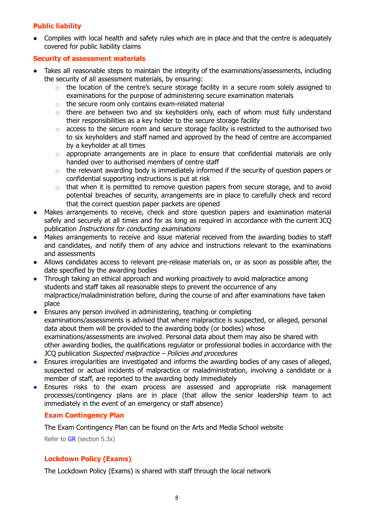# <span id="page-8-0"></span>**Public liability**

• Complies with local health and safety rules which are in place and that the centre is adequately covered for public liability claims

# <span id="page-8-1"></span>**Security of assessment materials**

- Takes all reasonable steps to maintain the integrity of the examinations/assessments, including the security of all assessment materials, by ensuring:
	- o the location of the centre's secure storage facility in a secure room solely assigned to examinations for the purpose of administering secure examination materials
	- o the secure room only contains exam-related material
	- o there are between two and six keyholders only, each of whom must fully understand their responsibilities as a key holder to the secure storage facility
	- o access to the secure room and secure storage facility is restricted to the authorised two to six keyholders and staff named and approved by the head of centre are accompanied by a keyholder at all times
	- $\circ$  appropriate arrangements are in place to ensure that confidential materials are only handed over to authorised members of centre staff
	- o the relevant awarding body is immediately informed if the security of question papers or confidential supporting instructions is put at risk
	- o that when it is permitted to remove question papers from secure storage, and to avoid potential breaches of security, arrangements are in place to carefully check and record that the correct question paper packets are opened
- Makes arrangements to receive, check and store question papers and examination material safely and securely at all times and for as long as required in accordance with the current JCQ publication Instructions for conducting examinations
- Makes arrangements to receive and issue material received from the awarding bodies to staff and candidates, and notify them of any advice and instructions relevant to the examinations and assessments
- Allows candidates access to relevant pre-release materials on, or as soon as possible after, the date specified by the awarding bodies
- Through taking an ethical approach and working proactively to avoid malpractice among students and staff takes all reasonable steps to prevent the occurrence of any malpractice/maladministration before, during the course of and after examinations have taken place
- Ensures any person involved in administering, teaching or completing examinations/assessments is advised that where malpractice is suspected, or alleged, personal data about them will be provided to the awarding body (or bodies) whose examinations/assessments are involved. Personal data about them may also be shared with other awarding bodies, the qualifications regulator or professional bodies in accordance with the JCQ publication Suspected malpractice – Policies and procedures
- Ensures irregularities are investigated and informs the awarding bodies of any cases of alleged, suspected or actual incidents of malpractice or maladministration, involving a candidate or a member of staff, are reported to the awarding body immediately
- Ensures risks to the exam process are assessed and appropriate risk management processes/contingency plans are in place (that allow the senior leadership team to act immediately in the event of an emergency or staff absence)

# <span id="page-8-2"></span>**Exam Contingency Plan**

The Exam Contingency Plan can be found on the Arts and Media School website

Refer to [GR](http://www.jcq.org.uk/exams-office/general-regulations) (section 5.3x)

# <span id="page-8-3"></span>**Lockdown Policy (Exams)**

The Lockdown Policy (Exams) is shared with staff through the local network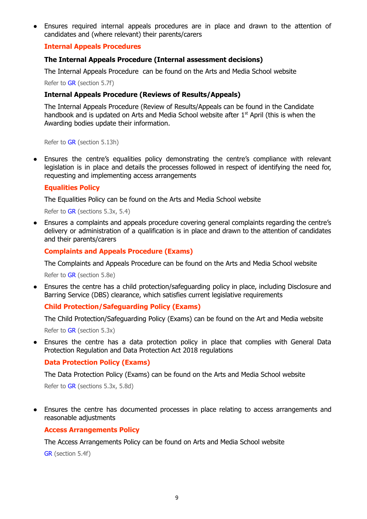Ensures required internal appeals procedures are in place and drawn to the attention of candidates and (where relevant) their parents/carers

# <span id="page-9-0"></span>**Internal Appeals Procedures**

### **The Internal Appeals Procedure (Internal assessment decisions)**

The Internal Appeals Procedure can be found on the Arts and Media School website

Refer to [GR](http://www.jcq.org.uk/exams-office/general-regulations) (section 5.7f)

### **Internal Appeals Procedure (Reviews of Results/Appeals)**

The Internal Appeals Procedure (Review of Results/Appeals can be found in the Candidate handbook and is updated on Arts and Media School website after  $1<sup>st</sup>$  April (this is when the Awarding bodies update their information.

Refer to [GR](http://www.jcq.org.uk/exams-office/general-regulations) (section 5.13h)

Ensures the centre's equalities policy demonstrating the centre's compliance with relevant legislation is in place and details the processes followed in respect of identifying the need for, requesting and implementing access arrangements

# <span id="page-9-1"></span>**Equalities Policy**

The Equalities Policy can be found on the Arts and Media School website

Refer to [GR](http://www.jcq.org.uk/exams-office/general-regulations) (sections 5.3x, 5.4)

Ensures a complaints and appeals procedure covering general complaints regarding the centre's delivery or administration of a qualification is in place and drawn to the attention of candidates and their parents/carers

### <span id="page-9-2"></span>**Complaints and Appeals Procedure (Exams)**

The Complaints and Appeals Procedure can be found on the Arts and Media School website

Refer to [GR](http://www.jcq.org.uk/exams-office/general-regulations) (section 5.8e)

Ensures the centre has a child protection/safeguarding policy in place, including Disclosure and Barring Service (DBS) clearance, which satisfies current legislative requirements

# <span id="page-9-3"></span>**Child Protection/Safeguarding Policy (Exams)**

The Child Protection/Safeguarding Policy (Exams) can be found on the Art and Media website

Refer to [GR](http://www.jcq.org.uk/exams-office/general-regulations) (section 5.3x)

Ensures the centre has a data protection policy in place that complies with General Data Protection Regulation and Data Protection Act 2018 regulations

### <span id="page-9-4"></span>**Data Protection Policy (Exams)**

The Data Protection Policy (Exams) can be found on the Arts and Media School website

Refer to [GR](http://www.jcq.org.uk/exams-office/general-regulations) (sections 5.3x, 5.8d)

<span id="page-9-5"></span>Ensures the centre has documented processes in place relating to access arrangements and reasonable adjustments

### **Access Arrangements Policy**

The Access Arrangements Policy can be found on Arts and Media School website

[GR](http://www.jcq.org.uk/exams-office/general-regulations) (section 5.4f)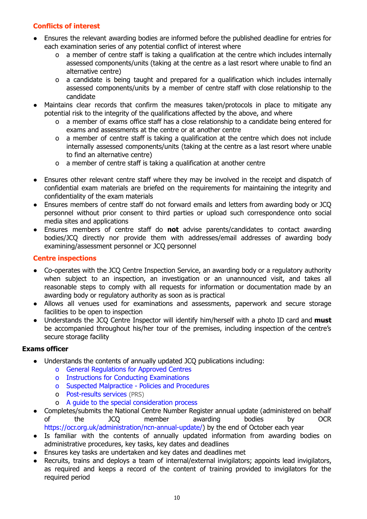# <span id="page-10-0"></span>**Conflicts of interest**

- Ensures the relevant awarding bodies are informed before the published deadline for entries for each examination series of any potential conflict of interest where
	- o a member of centre staff is taking a qualification at the centre which includes internally assessed components/units (taking at the centre as a last resort where unable to find an alternative centre)
	- o a candidate is being taught and prepared for a qualification which includes internally assessed components/units by a member of centre staff with close relationship to the candidate
- Maintains clear records that confirm the measures taken/protocols in place to mitigate any potential risk to the integrity of the qualifications affected by the above, and where
	- o a member of exams office staff has a close relationship to a candidate being entered for exams and assessments at the centre or at another centre
	- o a member of centre staff is taking a qualification at the centre which does not include internally assessed components/units (taking at the centre as a last resort where unable to find an alternative centre)
	- o a member of centre staff is taking a qualification at another centre
- Ensures other relevant centre staff where they may be involved in the receipt and dispatch of confidential exam materials are briefed on the requirements for maintaining the integrity and confidentiality of the exam materials
- Ensures members of centre staff do not forward emails and letters from awarding body or JCQ personnel without prior consent to third parties or upload such correspondence onto social media sites and applications
- Ensures members of centre staff do **not** advise parents/candidates to contact awarding bodies/JCQ directly nor provide them with addresses/email addresses of awarding body examining/assessment personnel or JCQ personnel

# <span id="page-10-1"></span>**Centre inspections**

- Co-operates with the JCQ Centre Inspection Service, an awarding body or a regulatory authority when subject to an inspection, an investigation or an unannounced visit, and takes all reasonable steps to comply with all requests for information or documentation made by an awarding body or regulatory authority as soon as is practical
- Allows all venues used for examinations and assessments, paperwork and secure storage facilities to be open to inspection
- Understands the JCQ Centre Inspector will identify him/herself with a photo ID card and **must** be accompanied throughout his/her tour of the premises, including inspection of the centre's secure storage facility

- Understands the contents of annually updated JCQ publications including:
	- o General [Regulations](http://www.jcq.org.uk/exams-office/general-regulations) for Approved Centres
	- o Instructions for Conducting [Examinations](http://www.jcq.org.uk/exams-office/ice---instructions-for-conducting-examinations)
	- o Suspected [Malpractice](http://www.jcq.org.uk/exams-office/malpractice) Policies and Procedures
	- o [Post-results](http://www.jcq.org.uk/exams-office/post-results-services) services (PRS)
	- o A guide to the special [consideration](https://www.jcq.org.uk/exams-office/access-arrangements-and-special-consideration/regulations-and-guidance/) process
- Completes/submits the National Centre Number Register annual update (administered on behalf of the JCQ member awarding bodies by OCR [https://ocr.org.uk/administration/ncn-annual-update/\)](https://ocr.org.uk/administration/ncn-annual-update/) by the end of October each year
- Is familiar with the contents of annually updated information from awarding bodies on administrative procedures, key tasks, key dates and deadlines
- Ensures key tasks are undertaken and key dates and deadlines met
- Recruits, trains and deploys a team of internal/external invigilators; appoints lead invigilators, as required and keeps a record of the content of training provided to invigilators for the required period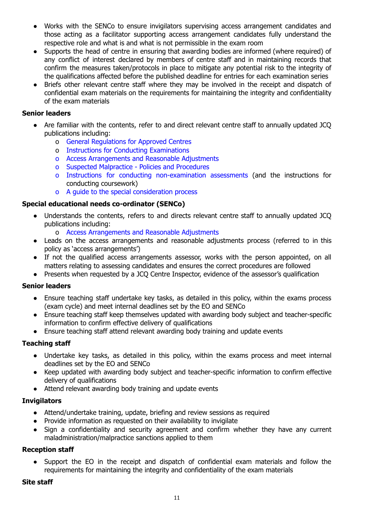- Works with the SENCo to ensure invigilators supervising access arrangement candidates and those acting as a facilitator supporting access arrangement candidates fully understand the respective role and what is and what is not permissible in the exam room
- **●** Supports the head of centre in ensuring that awarding bodies are informed (where required) of any conflict of interest declared by members of centre staff and in maintaining records that confirm the measures taken/protocols in place to mitigate any potential risk to the integrity of the qualifications affected before the published deadline for entries for each examination series
- Briefs other relevant centre staff where they may be involved in the receipt and dispatch of confidential exam materials on the requirements for maintaining the integrity and confidentiality of the exam materials

# **Senior leaders**

- Are familiar with the contents, refer to and direct relevant centre staff to annually updated JCQ publications including:
	- o General [Regulations](http://www.jcq.org.uk/exams-office/general-regulations) for Approved Centres
	- o Instructions for Conducting [Examinations](http://www.jcq.org.uk/exams-office/ice---instructions-for-conducting-examinations)
	- o Access [Arrangements](http://www.jcq.org.uk/exams-office/access-arrangements-and-special-consideration/regulations-and-guidance) and Reasonable Adjustments
	- o Suspected [Malpractice](http://www.jcq.org.uk/exams-office/malpractice) Policies and Procedures
	- o Instructions for conducting [non-examination](http://www.jcq.org.uk/exams-office/non-examination-assessments) assessments (and the instructions for conducting coursework)
	- o A guide to the special [consideration](http://www.jcq.org.uk/exams-office/access-arrangements-and-special-consideration/regulations-and-guidance) process

# **Special educational needs co-ordinator (SENCo)**

- Understands the contents, refers to and directs relevant centre staff to annually updated JCQ publications including:
	- o Access [Arrangements](http://www.jcq.org.uk/exams-office/access-arrangements-and-special-consideration/regulations-and-guidance) and Reasonable Adjustments
- **●** Leads on the access arrangements and reasonable adjustments process (referred to in this policy as 'access arrangements')
- **●** If not the qualified access arrangements assessor, works with the person appointed, on all matters relating to assessing candidates and ensures the correct procedures are followed
- **●** Presents when requested by a JCQ Centre Inspector, evidence of the assessor's qualification

# **Senior leaders**

- Ensure teaching staff undertake key tasks, as detailed in this policy, within the exams process (exam cycle) and meet internal deadlines set by the EO and SENCo
- Ensure teaching staff keep themselves updated with awarding body subject and teacher-specific information to confirm effective delivery of qualifications
- Ensure teaching staff attend relevant awarding body training and update events

# **Teaching staff**

- Undertake key tasks, as detailed in this policy, within the exams process and meet internal deadlines set by the EO and SENCo
- Keep updated with awarding body subject and teacher-specific information to confirm effective delivery of qualifications
- Attend relevant awarding body training and update events

# **Invigilators**

- Attend/undertake training, update, briefing and review sessions as required
- Provide information as requested on their availability to invigilate
- Sign a confidentiality and security agreement and confirm whether they have any current maladministration/malpractice sanctions applied to them

# **Reception staff**

Support the EO in the receipt and dispatch of confidential exam materials and follow the requirements for maintaining the integrity and confidentiality of the exam materials

# **Site staff**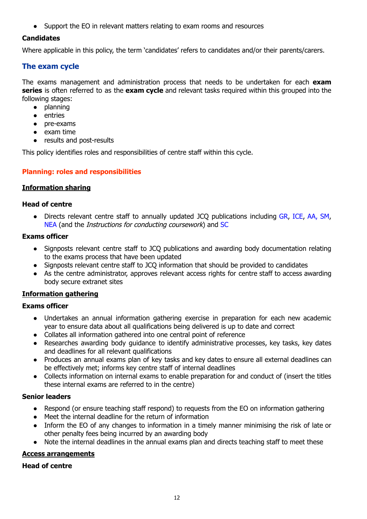● Support the EO in relevant matters relating to exam rooms and resources

# **Candidates**

Where applicable in this policy, the term 'candidates' refers to candidates and/or their parents/carers.

# <span id="page-12-0"></span>**The exam cycle**

The exams management and administration process that needs to be undertaken for each **exam series** is often referred to as the **exam cycle** and relevant tasks required within this grouped into the following stages:

- planning
- entries
- pre-exams
- exam time
- results and post-results

<span id="page-12-1"></span>This policy identifies roles and responsibilities of centre staff within this cycle.

# **Planning: roles and responsibilities**

# <span id="page-12-2"></span>**Information sharing**

# **Head of centre**

• Directs relevant centre staff to annually updated JCQ publications including [GR,](http://www.jcq.org.uk/exams-office/general-regulations) [ICE](http://www.jcq.org.uk/exams-office/ice---instructions-for-conducting-examinations), [AA,](http://www.jcq.org.uk/exams-office/access-arrangements-and-special-consideration) [SM,](http://www.jcq.org.uk/exams-office/malpractice) [NEA](http://www.jcq.org.uk/exams-office/non-examination-assessments) (and the Instructions for conducting coursework) and [SC](http://www.jcq.org.uk/exams-office/access-arrangements-and-special-consideration/regulations-and-guidance)

# **Exams officer**

- Signposts relevant centre staff to JCQ publications and awarding body documentation relating to the exams process that have been updated
- Signposts relevant centre staff to JCQ information that should be provided to candidates
- As the centre administrator, approves relevant access rights for centre staff to access awarding body secure extranet sites

# <span id="page-12-3"></span>**Information gathering**

# **Exams officer**

- Undertakes an annual information gathering exercise in preparation for each new academic year to ensure data about all qualifications being delivered is up to date and correct
- Collates all information gathered into one central point of reference
- Researches awarding body guidance to identify administrative processes, key tasks, key dates and deadlines for all relevant qualifications
- Produces an annual exams plan of key tasks and key dates to ensure all external deadlines can be effectively met; informs key centre staff of internal deadlines
- Collects information on internal exams to enable preparation for and conduct of (insert the titles these internal exams are referred to in the centre)

# **Senior leaders**

- Respond (or ensure teaching staff respond) to requests from the EO on information gathering
- Meet the internal deadline for the return of information
- Inform the EO of any changes to information in a timely manner minimising the risk of late or other penalty fees being incurred by an awarding body
- Note the internal deadlines in the annual exams plan and directs teaching staff to meet these

# <span id="page-12-4"></span>**Access arrangements**

# **Head of centre**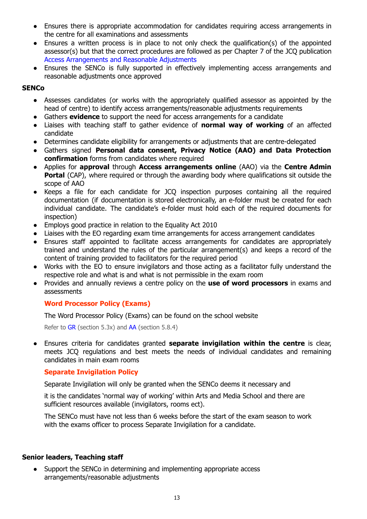- Ensures there is appropriate accommodation for candidates requiring access arrangements in the centre for all examinations and assessments
- Ensures a written process is in place to not only check the qualification(s) of the appointed assessor(s) but that the correct procedures are followed as per Chapter 7 of the JCQ publication Access [Arrangements](http://www.jcq.org.uk/exams-office/access-arrangements-and-special-consideration/regulations-and-guidance) and Reasonable Adjustments
- Ensures the SENCo is fully supported in effectively implementing access arrangements and reasonable adjustments once approved

# **SENCo**

- **●** Assesses candidates (or works with the appropriately qualified assessor as appointed by the head of centre) to identify access arrangements/reasonable adjustments requirements
- **●** Gathers **evidence** to support the need for access arrangements for a candidate
- **●** Liaises with teaching staff to gather evidence of **normal way of working** of an affected candidate
- **●** Determines candidate eligibility for arrangements or adjustments that are centre-delegated
- **●** Gathers signed **Personal data consent, Privacy Notice (AAO) and Data Protection confirmation** forms from candidates where required
- **●** Applies for **approval** through **Access arrangements online** (AAO) via the **Centre Admin Portal** (CAP), where required or through the awarding body where qualifications sit outside the scope of AAO
- Keeps a file for each candidate for JCQ inspection purposes containing all the required documentation (if documentation is stored electronically, an e-folder must be created for each individual candidate. The candidate's e-folder must hold each of the required documents for inspection)
- **●** Employs good practice in relation to the Equality Act 2010
- **●** Liaises with the EO regarding exam time arrangements for access arrangement candidates
- **●** Ensures staff appointed to facilitate access arrangements for candidates are appropriately trained and understand the rules of the particular arrangement(s) and keeps a record of the content of training provided to facilitators for the required period
- Works with the EO to ensure invigilators and those acting as a facilitator fully understand the respective role and what is and what is not permissible in the exam room
- **●** Provides and annually reviews a centre policy on the **use of word processors** in exams and assessments

# <span id="page-13-0"></span>**Word Processor Policy (Exams)**

The Word Processor Policy (Exams) can be found on the school website

Refer to [GR](http://www.jcq.org.uk/exams-office/general-regulations) (section 5.3x) and [AA](http://www.jcq.org.uk/exams-office/access-arrangements-and-special-consideration) (section 5.8.4)

**●** Ensures criteria for candidates granted **separate invigilation within the centre** is clear, meets JCQ regulations and best meets the needs of individual candidates and remaining candidates in main exam rooms

# <span id="page-13-1"></span>**Separate Invigilation Policy**

Separate Invigilation will only be granted when the SENCo deems it necessary and

it is the candidates 'normal way of working' within Arts and Media School and there are sufficient resources available (invigilators, rooms ect).

The SENCo must have not less than 6 weeks before the start of the exam season to work with the exams officer to process Separate Invigilation for a candidate.

# **Senior leaders, Teaching staff**

● Support the SENCo in determining and implementing appropriate access arrangements/reasonable adjustments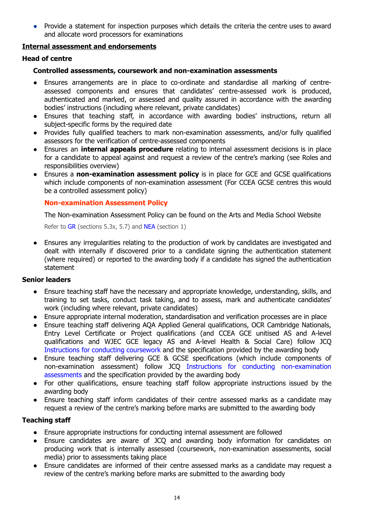● Provide a statement for inspection purposes which details the criteria the centre uses to award and allocate word processors for examinations

# <span id="page-14-0"></span>**Internal assessment and endorsements**

# **Head of centre**

# **Controlled assessments, coursework and non-examination assessments**

- Ensures arrangements are in place to co-ordinate and standardise all marking of centreassessed components and ensures that candidates' centre-assessed work is produced, authenticated and marked, or assessed and quality assured in accordance with the awarding bodies' instructions (including where relevant, private candidates)
- Ensures that teaching staff, in accordance with awarding bodies' instructions, return all subject-specific forms by the required date
- Provides fully qualified teachers to mark non-examination assessments, and/or fully qualified assessors for the verification of centre-assessed components
- Ensures an **internal appeals procedure** relating to internal assessment decisions is in place for a candidate to appeal against and request a review of the centre's marking (see Roles and responsibilities overview)
- *●* Ensures a **non-examination assessment policy** is in place for GCE and GCSE qualifications which include components of non-examination assessment (For CCEA GCSE centres this would be a controlled assessment policy)

# <span id="page-14-1"></span>**Non-examination Assessment Policy**

The Non-examination Assessment Policy can be found on the Arts and Media School Website

Refer to [GR](http://www.jcq.org.uk/exams-office/general-regulations) (sections 5.3x, 5.7) and [NEA](https://www.jcq.org.uk/exams-office/non-examination-assessments) (section 1)

**●** Ensures any irregularities relating to the production of work by candidates are investigated and dealt with internally if discovered prior to a candidate signing the authentication statement (where required) or reported to the awarding body if a candidate has signed the authentication statement

# **Senior leaders**

- Ensure teaching staff have the necessary and appropriate knowledge, understanding, skills, and training to set tasks, conduct task taking, and to assess, mark and authenticate candidates' work (including where relevant, private candidates)
- Ensure appropriate internal moderation, standardisation and verification processes are in place
- Ensure teaching staff delivering AQA Applied General qualifications, OCR Cambridge Nationals, Entry Level Certificate or Project qualifications (and CCEA GCE unitised AS and A-level qualifications and WJEC GCE legacy AS and A-level Health & Social Care) follow JCQ [Instructions](http://www.jcq.org.uk/exams-office/coursework) for conducting coursework and the specification provided by the awarding body
- Ensure teaching staff delivering GCE & GCSE specifications (which include components of non-examination assessment) follow JCQ Instructions for conducting [non-examination](http://www.jcq.org.uk/exams-office/non-examination-assessments) [assessments](http://www.jcq.org.uk/exams-office/non-examination-assessments) and the specification provided by the awarding body
- For other qualifications, ensure teaching staff follow appropriate instructions issued by the awarding body
- Ensure teaching staff inform candidates of their centre assessed marks as a candidate may request a review of the centre's marking before marks are submitted to the awarding body

# **Teaching staff**

- Ensure appropriate instructions for conducting internal assessment are followed
- Ensure candidates are aware of JCQ and awarding body information for candidates on producing work that is internally assessed (coursework, non-examination assessments, social media) prior to assessments taking place
- Ensure candidates are informed of their centre assessed marks as a candidate may request a review of the centre's marking before marks are submitted to the awarding body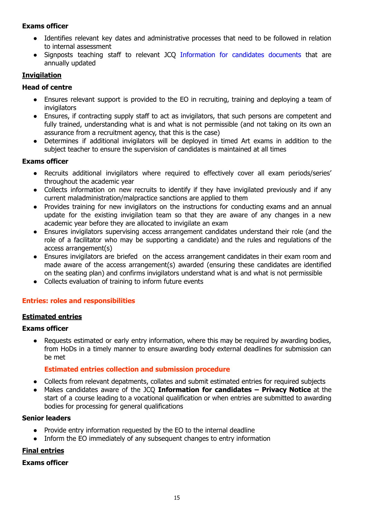# **Exams officer**

- Identifies relevant key dates and administrative processes that need to be followed in relation to internal assessment
- Signposts teaching staff to relevant JCQ [Information](https://www.jcq.org.uk/exams-office/information-for-candidates-documents/) for candidates documents that are annually updated

# <span id="page-15-0"></span>**Invigilation**

# **Head of centre**

- **●** Ensures relevant support is provided to the EO in recruiting, training and deploying a team of invigilators
- Ensures, if contracting supply staff to act as invigilators, that such persons are competent and fully trained, understanding what is and what is not permissible (and not taking on its own an assurance from a recruitment agency, that this is the case)
- Determines if additional invigilators will be deployed in timed Art exams in addition to the subject teacher to ensure the supervision of candidates is maintained at all times

# **Exams officer**

- **●** Recruits additional invigilators where required to effectively cover all exam periods/series' throughout the academic year
- **●** Collects information on new recruits to identify if they have invigilated previously and if any current maladministration/malpractice sanctions are applied to them
- **●** Provides training for new invigilators on the instructions for conducting exams and an annual update for the existing invigilation team so that they are aware of any changes in a new academic year before they are allocated to invigilate an exam
- **●** Ensures invigilators supervising access arrangement candidates understand their role (and the role of a facilitator who may be supporting a candidate) and the rules and regulations of the access arrangement(s)
- **●** Ensures invigilators are briefed on the access arrangement candidates in their exam room and made aware of the access arrangement(s) awarded (ensuring these candidates are identified on the seating plan) and confirms invigilators understand what is and what is not permissible
- **●** Collects evaluation of training to inform future events

# <span id="page-15-1"></span>**Entries: roles and responsibilities**

# <span id="page-15-2"></span>**Estimated entries**

# **Exams officer**

• Requests estimated or early entry information, where this may be required by awarding bodies, from HoDs in a timely manner to ensure awarding body external deadlines for submission can be met

# **Estimated entries collection and submission procedure**

- <span id="page-15-3"></span>● Collects from relevant depatments, collates and submit estimated entries for required subjects
- Makes candidates aware of the JCQ **Information for candidates – Privacy Notice** at the start of a course leading to a vocational qualification or when entries are submitted to awarding bodies for processing for general qualifications

# **Senior leaders**

- Provide entry information requested by the EO to the internal deadline
- Inform the EO immediately of any subsequent changes to entry information

# <span id="page-15-4"></span>**Final entries**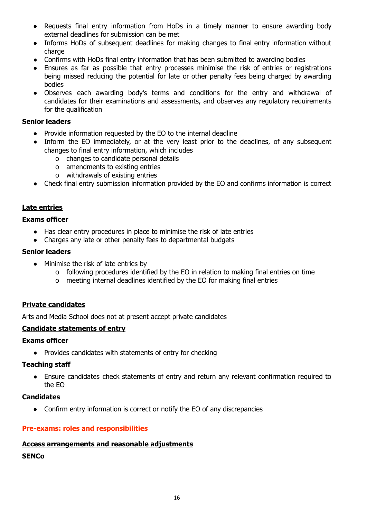- Requests final entry information from HoDs in a timely manner to ensure awarding body external deadlines for submission can be met
- Informs HoDs of subsequent deadlines for making changes to final entry information without charge
- Confirms with HoDs final entry information that has been submitted to awarding bodies
- Ensures as far as possible that entry processes minimise the risk of entries or registrations being missed reducing the potential for late or other penalty fees being charged by awarding bodies
- Observes each awarding body's terms and conditions for the entry and withdrawal of candidates for their examinations and assessments, and observes any regulatory requirements for the qualification

# **Senior leaders**

- Provide information requested by the EO to the internal deadline
- Inform the EO immediately, or at the very least prior to the deadlines, of any subsequent changes to final entry information, which includes
	- o changes to candidate personal details
	- o amendments to existing entries
	- o withdrawals of existing entries
- Check final entry submission information provided by the EO and confirms information is correct

# <span id="page-16-0"></span>**Late entries**

# **Exams officer**

- Has clear entry procedures in place to minimise the risk of late entries
- Charges any late or other penalty fees to departmental budgets

# **Senior leaders**

- Minimise the risk of late entries by
	- o following procedures identified by the EO in relation to making final entries on time
	- o meeting internal deadlines identified by the EO for making final entries

# <span id="page-16-1"></span>**Private candidates**

Arts and Media School does not at present accept private candidates

# <span id="page-16-2"></span>**Candidate statements of entry**

# **Exams officer**

● Provides candidates with statements of entry for checking

# **Teaching staff**

● Ensure candidates check statements of entry and return any relevant confirmation required to the EO

# **Candidates**

• Confirm entry information is correct or notify the EO of any discrepancies

# <span id="page-16-3"></span>**Pre-exams: roles and responsibilities**

# <span id="page-16-4"></span>**Access arrangements and reasonable adjustments**

# **SENCo**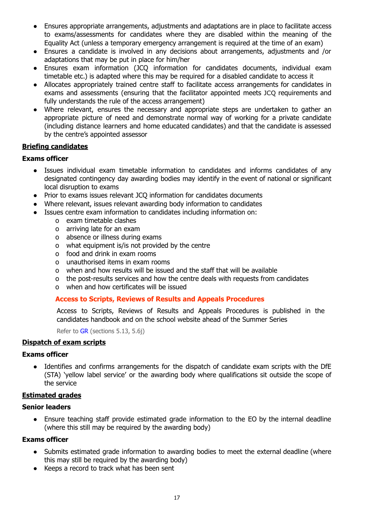- **●** Ensures appropriate arrangements, adjustments and adaptations are in place to facilitate access to exams/assessments for candidates where they are disabled within the meaning of the Equality Act (unless a temporary emergency arrangement is required at the time of an exam)
- **●** Ensures a candidate is involved in any decisions about arrangements, adjustments and /or adaptations that may be put in place for him/her
- **●** Ensures exam information (JCQ information for candidates documents, individual exam timetable etc.) is adapted where this may be required for a disabled candidate to access it
- Allocates appropriately trained centre staff to facilitate access arrangements for candidates in exams and assessments (ensuring that the facilitator appointed meets JCQ requirements and fully understands the rule of the access arrangement)
- Where relevant, ensures the necessary and appropriate steps are undertaken to gather an appropriate picture of need and demonstrate normal way of working for a private candidate (including distance learners and home educated candidates) and that the candidate is assessed by the centre's appointed assessor

# <span id="page-17-0"></span>**Briefing candidates**

# **Exams officer**

- Issues individual exam timetable information to candidates and informs candidates of any designated contingency day awarding bodies may identify in the event of national or significant local disruption to exams
- Prior to exams issues relevant JCQ information for candidates documents
- Where relevant, issues relevant awarding body information to candidates
- Issues centre exam information to candidates including information on:
	- o exam timetable clashes
	- o arriving late for an exam
	- o absence or illness during exams
	- o what equipment is/is not provided by the centre
	- o food and drink in exam rooms
	- o unauthorised items in exam rooms
	- o when and how results will be issued and the staff that will be available
	- o the post-results services and how the centre deals with requests from candidates
	- o when and how certificates will be issued

# <span id="page-17-1"></span>**Access to Scripts, Reviews of Results and Appeals Procedures**

Access to Scripts, Reviews of Results and Appeals Procedures is published in the candidates handbook and on the school website ahead of the Summer Series

Refer to [GR](http://www.jcq.org.uk/exams-office/general-regulations) (sections 5.13, 5.6j)

# <span id="page-17-2"></span>**Dispatch of exam scripts**

# **Exams officer**

● Identifies and confirms arrangements for the dispatch of candidate exam scripts with the DfE (STA) 'yellow label service' or the awarding body where qualifications sit outside the scope of the service

# <span id="page-17-3"></span>**Estimated grades**

# **Senior leaders**

• Ensure teaching staff provide estimated grade information to the EO by the internal deadline (where this still may be required by the awarding body)

- Submits estimated grade information to awarding bodies to meet the external deadline (where this may still be required by the awarding body)
- Keeps a record to track what has been sent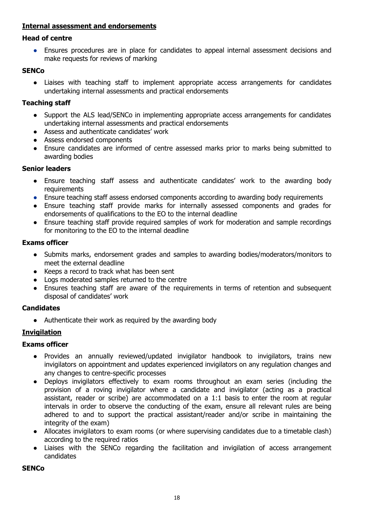# <span id="page-18-0"></span>**Internal assessment and endorsements**

# **Head of centre**

● Ensures procedures are in place for candidates to appeal internal assessment decisions and make requests for reviews of marking

# **SENCo**

● Liaises with teaching staff to implement appropriate access arrangements for candidates undertaking internal assessments and practical endorsements

# **Teaching staff**

- Support the ALS lead/SENCo in implementing appropriate access arrangements for candidates undertaking internal assessments and practical endorsements
- Assess and authenticate candidates' work
- Assess endorsed components
- Ensure candidates are informed of centre assessed marks prior to marks being submitted to awarding bodies

# **Senior leaders**

- Ensure teaching staff assess and authenticate candidates' work to the awarding body requirements
- Ensure teaching staff assess endorsed components according to awarding body requirements
- Ensure teaching staff provide marks for internally assessed components and grades for endorsements of qualifications to the EO to the internal deadline
- Ensure teaching staff provide required samples of work for moderation and sample recordings for monitoring to the EO to the internal deadline

# **Exams officer**

- Submits marks, endorsement grades and samples to awarding bodies/moderators/monitors to meet the external deadline
- Keeps a record to track what has been sent
- Logs moderated samples returned to the centre
- Ensures teaching staff are aware of the requirements in terms of retention and subsequent disposal of candidates' work

# **Candidates**

Authenticate their work as required by the awarding body

# <span id="page-18-1"></span>**Invigilation**

# **Exams officer**

- Provides an annually reviewed/updated invigilator handbook to invigilators, trains new invigilators on appointment and updates experienced invigilators on any regulation changes and any changes to centre-specific processes
- Deploys invigilators effectively to exam rooms throughout an exam series (including the provision of a roving invigilator where a candidate and invigilator (acting as a practical assistant, reader or scribe) are accommodated on a 1:1 basis to enter the room at regular intervals in order to observe the conducting of the exam, ensure all relevant rules are being adhered to and to support the practical assistant/reader and/or scribe in maintaining the integrity of the exam)
- Allocates invigilators to exam rooms (or where supervising candidates due to a timetable clash) according to the required ratios
- Liaises with the SENCo regarding the facilitation and invigilation of access arrangement candidates

**SENCo**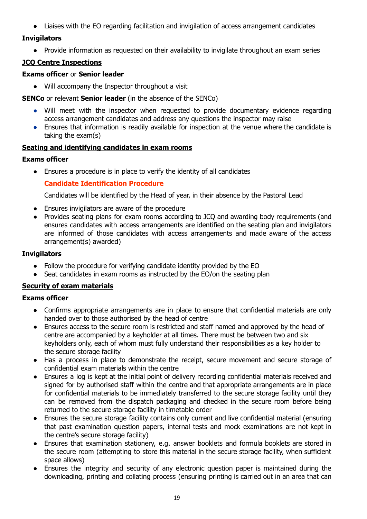● Liaises with the EO regarding facilitation and invigilation of access arrangement candidates

# **Invigilators**

● Provide information as requested on their availability to invigilate throughout an exam series

# <span id="page-19-0"></span>**JCQ Centre Inspections**

# **Exams officer** or **Senior leader**

● Will accompany the Inspector throughout a visit

**SENCo** or relevant **Senior leader** (in the absence of the SENCo)

- Will meet with the inspector when requested to provide documentary evidence regarding access arrangement candidates and address any questions the inspector may raise
- Ensures that information is readily available for inspection at the venue where the candidate is taking the exam(s)

# <span id="page-19-1"></span>**Seating and identifying candidates in exam rooms**

# **Exams officer**

<span id="page-19-2"></span>● Ensures a procedure is in place to verify the identity of all candidates

# **Candidate Identification Procedure**

Candidates will be identified by the Head of year, in their absence by the Pastoral Lead

- Ensures invigilators are aware of the procedure
- Provides seating plans for exam rooms according to JCQ and awarding body requirements (and ensures candidates with access arrangements are identified on the seating plan and invigilators are informed of those candidates with access arrangements and made aware of the access arrangement(s) awarded)

# **Invigilators**

- Follow the procedure for verifying candidate identity provided by the EO
- Seat candidates in exam rooms as instructed by the EO/on the seating plan

# <span id="page-19-3"></span>**Security of exam materials**

- Confirms appropriate arrangements are in place to ensure that confidential materials are only handed over to those authorised by the head of centre
- Ensures access to the secure room is restricted and staff named and approved by the head of centre are accompanied by a keyholder at all times. There must be between two and six keyholders only, each of whom must fully understand their responsibilities as a key holder to the secure storage facility
- Has a process in place to demonstrate the receipt, secure movement and secure storage of confidential exam materials within the centre
- **●** Ensures a log is kept at the initial point of delivery recording confidential materials received and signed for by authorised staff within the centre and that appropriate arrangements are in place for confidential materials to be immediately transferred to the secure storage facility until they can be removed from the dispatch packaging and checked in the secure room before being returned to the secure storage facility in timetable order
- Ensures the secure storage facility contains only current and live confidential material (ensuring that past examination question papers, internal tests and mock examinations are not kept in the centre's secure storage facility)
- Ensures that examination stationery, e.g. answer booklets and formula booklets are stored in the secure room (attempting to store this material in the secure storage facility, when sufficient space allows)
- Ensures the integrity and security of any electronic question paper is maintained during the downloading, printing and collating process (ensuring printing is carried out in an area that can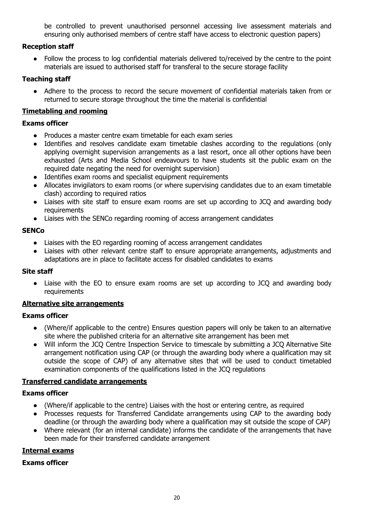be controlled to prevent unauthorised personnel accessing live assessment materials and ensuring only authorised members of centre staff have access to electronic question papers)

# **Reception staff**

● Follow the process to log confidential materials delivered to/received by the centre to the point materials are issued to authorised staff for transferal to the secure storage facility

# **Teaching staff**

• Adhere to the process to record the secure movement of confidential materials taken from or returned to secure storage throughout the time the material is confidential

# <span id="page-20-0"></span>**Timetabling and rooming**

# **Exams officer**

- **●** Produces a master centre exam timetable for each exam series
- **●** Identifies and resolves candidate exam timetable clashes according to the regulations (only applying overnight supervision arrangements as a last resort, once all other options have been exhausted (Arts and Media School endeavours to have students sit the public exam on the required date negating the need for overnight supervision)
- **●** Identifies exam rooms and specialist equipment requirements
- **●** Allocates invigilators to exam rooms (or where supervising candidates due to an exam timetable clash) according to required ratios
- **●** Liaises with site staff to ensure exam rooms are set up according to JCQ and awarding body requirements
- **●** Liaises with the SENCo regarding rooming of access arrangement candidates

# **SENCo**

- Liaises with the EO regarding rooming of access arrangement candidates
- Liaises with other relevant centre staff to ensure appropriate arrangements, adjustments and adaptations are in place to facilitate access for disabled candidates to exams

# **Site staff**

• Liaise with the EO to ensure exam rooms are set up according to JCO and awarding body requirements

# <span id="page-20-1"></span>**Alternative site arrangements**

# **Exams officer**

- **●** (Where/if applicable to the centre) Ensures question papers will only be taken to an alternative site where the published criteria for an alternative site arrangement has been met
- **●** Will inform the JCQ Centre Inspection Service to timescale by submitting a JCQ Alternative Site arrangement notification using CAP (or through the awarding body where a qualification may sit outside the scope of CAP) of any alternative sites that will be used to conduct timetabled examination components of the qualifications listed in the JCQ regulations

# <span id="page-20-2"></span>**Transferred candidate arrangements**

# **Exams officer**

- (Where/if applicable to the centre) Liaises with the host or entering centre, as required
- Processes requests for Transferred Candidate arrangements using CAP to the awarding body deadline (or through the awarding body where a qualification may sit outside the scope of CAP)
- Where relevant (for an internal candidate) informs the candidate of the arrangements that have been made for their transferred candidate arrangement

# <span id="page-20-3"></span>**Internal exams**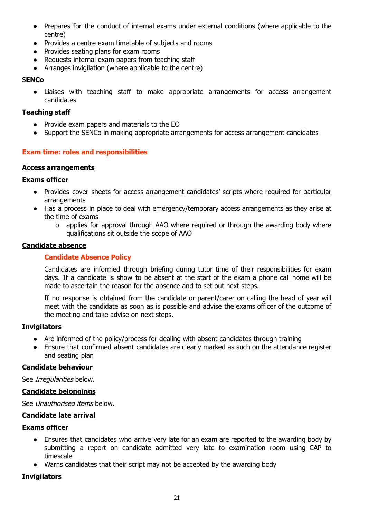- **●** Prepares for the conduct of internal exams under external conditions (where applicable to the centre)
- **●** Provides a centre exam timetable of subjects and rooms
- **●** Provides seating plans for exam rooms
- **●** Requests internal exam papers from teaching staff
- **●** Arranges invigilation (where applicable to the centre)

# S**ENCo**

● Liaises with teaching staff to make appropriate arrangements for access arrangement candidates

# **Teaching staff**

- Provide exam papers and materials to the EO
- Support the SENCo in making appropriate arrangements for access arrangement candidates

# <span id="page-21-0"></span>**Exam time: roles and responsibilities**

# <span id="page-21-1"></span>**Access arrangements**

# **Exams officer**

- Provides cover sheets for access arrangement candidates' scripts where required for particular arrangements
- Has a process in place to deal with emergency/temporary access arrangements as they arise at the time of exams
	- o applies for approval through AAO where required or through the awarding body where qualifications sit outside the scope of AAO

# <span id="page-21-3"></span><span id="page-21-2"></span>**Candidate absence**

# **Candidate Absence Policy**

Candidates are informed through briefing during tutor time of their responsibilities for exam days. If a candidate is show to be absent at the start of the exam a phone call home will be made to ascertain the reason for the absence and to set out next steps.

If no response is obtained from the candidate or parent/carer on calling the head of year will meet with the candidate as soon as is possible and advise the exams officer of the outcome of the meeting and take advise on next steps.

# **Invigilators**

- Are informed of the policy/process for dealing with absent candidates through training
- Ensure that confirmed absent candidates are clearly marked as such on the attendance register and seating plan

# <span id="page-21-4"></span>**Candidate behaviour**

See Irregularities below.

# <span id="page-21-5"></span>**Candidate belongings**

See Unauthorised items below.

# <span id="page-21-6"></span>**Candidate late arrival**

# **Exams officer**

- Ensures that candidates who arrive very late for an exam are reported to the awarding body by submitting a report on candidate admitted very late to examination room using CAP to timescale
- Warns candidates that their script may not be accepted by the awarding body

# **Invigilators**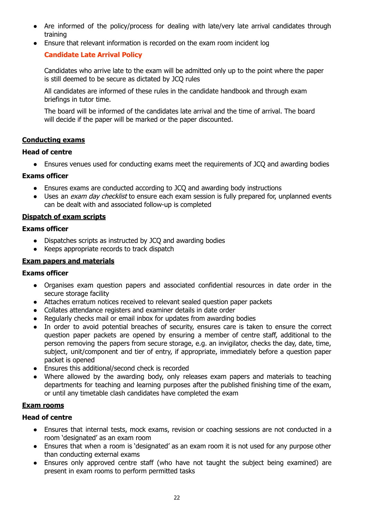- Are informed of the policy/process for dealing with late/very late arrival candidates through training
- <span id="page-22-0"></span>● Ensure that relevant information is recorded on the exam room incident log

# **Candidate Late Arrival Policy**

Candidates who arrive late to the exam will be admitted only up to the point where the paper is still deemed to be secure as dictated by JCQ rules

All candidates are informed of these rules in the candidate handbook and through exam briefings in tutor time.

The board will be informed of the candidates late arrival and the time of arrival. The board will decide if the paper will be marked or the paper discounted.

# <span id="page-22-1"></span>**Conducting exams**

# **Head of centre**

● Ensures venues used for conducting exams meet the requirements of JCQ and awarding bodies

# **Exams officer**

- Ensures exams are conducted according to JCQ and awarding body instructions
- Uses an *exam day checklist* to ensure each exam session is fully prepared for, unplanned events can be dealt with and associated follow-up is completed

# <span id="page-22-2"></span>**Dispatch of exam scripts**

# **Exams officer**

- Dispatches scripts as instructed by JCQ and awarding bodies
- Keeps appropriate records to track dispatch

# <span id="page-22-3"></span>**Exam papers and materials**

# **Exams officer**

- Organises exam question papers and associated confidential resources in date order in the secure storage facility
- Attaches erratum notices received to relevant sealed question paper packets
- Collates attendance registers and examiner details in date order
- Regularly checks mail or email inbox for updates from awarding bodies
- In order to avoid potential breaches of security, ensures care is taken to ensure the correct question paper packets are opened by ensuring a member of centre staff, additional to the person removing the papers from secure storage, e.g. an invigilator, checks the day, date, time, subject, unit/component and tier of entry, if appropriate, immediately before a question paper packet is opened
- Ensures this additional/second check is recorded
- Where allowed by the awarding body, only releases exam papers and materials to teaching departments for teaching and learning purposes after the published finishing time of the exam, or until any timetable clash candidates have completed the exam

# <span id="page-22-4"></span>**Exam rooms**

# **Head of centre**

- Ensures that internal tests, mock exams, revision or coaching sessions are not conducted in a room 'designated' as an exam room
- Ensures that when a room is 'designated' as an exam room it is not used for any purpose other than conducting external exams
- Ensures only approved centre staff (who have not taught the subject being examined) are present in exam rooms to perform permitted tasks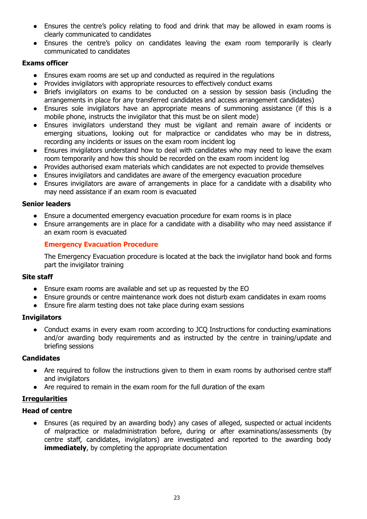- Ensures the centre's policy relating to food and drink that may be allowed in exam rooms is clearly communicated to candidates
- Ensures the centre's policy on candidates leaving the exam room temporarily is clearly communicated to candidates

# **Exams officer**

- Ensures exam rooms are set up and conducted as required in the regulations
- Provides invigilators with appropriate resources to effectively conduct exams
- Briefs invigilators on exams to be conducted on a session by session basis (including the arrangements in place for any transferred candidates and access arrangement candidates)
- Ensures sole invigilators have an appropriate means of summoning assistance (if this is a mobile phone, instructs the invigilator that this must be on silent mode)
- Ensures invigilators understand they must be vigilant and remain aware of incidents or emerging situations, looking out for malpractice or candidates who may be in distress, recording any incidents or issues on the exam room incident log
- Ensures invigilators understand how to deal with candidates who may need to leave the exam room temporarily and how this should be recorded on the exam room incident log
- Provides authorised exam materials which candidates are not expected to provide themselves
- Ensures invigilators and candidates are aware of the emergency evacuation procedure
- Ensures invigilators are aware of arrangements in place for a candidate with a disability who may need assistance if an exam room is evacuated

# **Senior leaders**

- Ensure a documented emergency evacuation procedure for exam rooms is in place
- Ensure arrangements are in place for a candidate with a disability who may need assistance if an exam room is evacuated

# <span id="page-23-0"></span>**Emergency Evacuation Procedure**

The Emergency Evacuation procedure is located at the back the invigilator hand book and forms part the invigilator training

# **Site staff**

- Ensure exam rooms are available and set up as requested by the EO
- Ensure grounds or centre maintenance work does not disturb exam candidates in exam rooms
- Ensure fire alarm testing does not take place during exam sessions

# **Invigilators**

● Conduct exams in every exam room according to JCQ Instructions for conducting examinations and/or awarding body requirements and as instructed by the centre in training/update and briefing sessions

# **Candidates**

- Are required to follow the instructions given to them in exam rooms by authorised centre staff and invigilators
- Are required to remain in the exam room for the full duration of the exam

# <span id="page-23-1"></span>**Irregularities**

# **Head of centre**

● Ensures (as required by an awarding body) any cases of alleged, suspected or actual incidents of malpractice or maladministration before, during or after examinations/assessments (by centre staff, candidates, invigilators) are investigated and reported to the awarding body **immediately**, by completing the appropriate documentation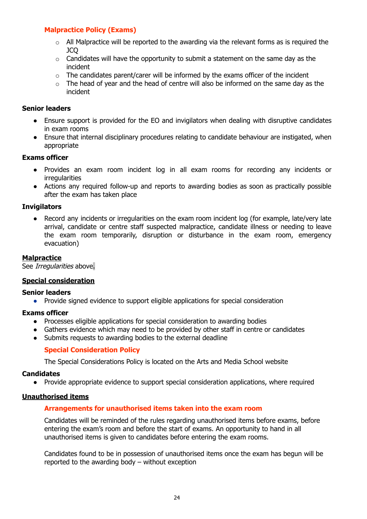# <span id="page-24-0"></span>**Malpractice Policy (Exams)**

- $\circ$  All Malpractice will be reported to the awarding via the relevant forms as is required the JCQ
- $\circ$  Candidates will have the opportunity to submit a statement on the same day as the incident
- $\circ$  The candidates parent/carer will be informed by the exams officer of the incident
- $\circ$  The head of year and the head of centre will also be informed on the same day as the incident

# **Senior leaders**

- Ensure support is provided for the EO and invigilators when dealing with disruptive candidates in exam rooms
- Ensure that internal disciplinary procedures relating to candidate behaviour are instigated, when appropriate

# **Exams officer**

- Provides an exam room incident log in all exam rooms for recording any incidents or irregularities
- Actions any required follow-up and reports to awarding bodies as soon as practically possible after the exam has taken place

# **Invigilators**

● Record any incidents or irregularities on the exam room incident log (for example, late/very late arrival, candidate or centre staff suspected malpractice, candidate illness or needing to leave the exam room temporarily, disruption or disturbance in the exam room, emergency evacuation)

# <span id="page-24-1"></span>**Malpractice**

See Irregularities above.

# <span id="page-24-2"></span>**Special consideration**

# **Senior leaders**

● Provide signed evidence to support eligible applications for special consideration

# **Exams officer**

- Processes eligible applications for special consideration to awarding bodies
- Gathers evidence which may need to be provided by other staff in centre or candidates
- <span id="page-24-3"></span>● Submits requests to awarding bodies to the external deadline

# **Special Consideration Policy**

The Special Considerations Policy is located on the Arts and Media School website

# **Candidates**

● Provide appropriate evidence to support special consideration applications, where required

# <span id="page-24-5"></span><span id="page-24-4"></span>**Unauthorised items**

# **Arrangements for unauthorised items taken into the exam room**

Candidates will be reminded of the rules regarding unauthorised items before exams, before entering the exam's room and before the start of exams. An opportunity to hand in all unauthorised items is given to candidates before entering the exam rooms.

Candidates found to be in possession of unauthorised items once the exam has begun will be reported to the awarding body – without exception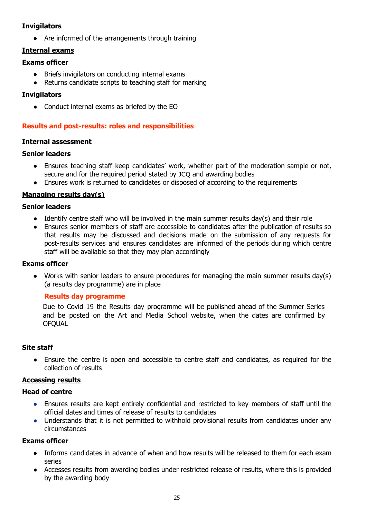# **Invigilators**

● Are informed of the arrangements through training

# <span id="page-25-0"></span>**Internal exams**

# **Exams officer**

- Briefs invigilators on conducting internal exams
- Returns candidate scripts to teaching staff for marking

# **Invigilators**

● Conduct internal exams as briefed by the EO

# <span id="page-25-1"></span>**Results and post-results: roles and responsibilities**

# <span id="page-25-2"></span>**Internal assessment**

# **Senior leaders**

- Ensures teaching staff keep candidates' work, whether part of the moderation sample or not, secure and for the required period stated by JCQ and awarding bodies
- Ensures work is returned to candidates or disposed of according to the requirements

# <span id="page-25-3"></span>**Managing results day(s)**

# **Senior leaders**

- **●** Identify centre staff who will be involved in the main summer results day(s) and their role
- **●** Ensures senior members of staff are accessible to candidates after the publication of results so that results may be discussed and decisions made on the submission of any requests for post-results services and ensures candidates are informed of the periods during which centre staff will be available so that they may plan accordingly

# **Exams officer**

● Works with senior leaders to ensure procedures for managing the main summer results day(s) (a results day programme) are in place

# <span id="page-25-4"></span>**Results day programme**

Due to Covid 19 the Results day programme will be published ahead of the Summer Series and be posted on the Art and Media School website, when the dates are confirmed by **OFOUAL** 

# **Site staff**

• Ensure the centre is open and accessible to centre staff and candidates, as required for the collection of results

# <span id="page-25-5"></span>**Accessing results**

# **Head of centre**

- Ensures results are kept entirely confidential and restricted to key members of staff until the official dates and times of release of results to candidates
- Understands that it is not permitted to withhold provisional results from candidates under any circumstances

- Informs candidates in advance of when and how results will be released to them for each exam series
- Accesses results from awarding bodies under restricted release of results, where this is provided by the awarding body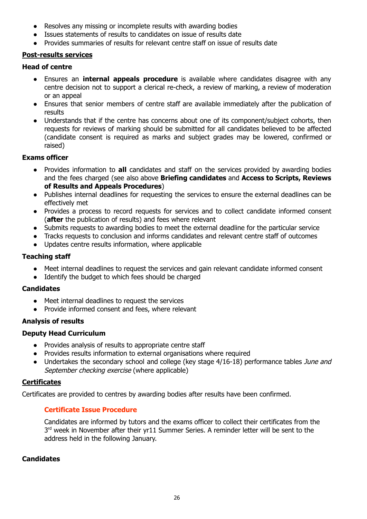- Resolves any missing or incomplete results with awarding bodies
- Issues statements of results to candidates on issue of results date
- Provides summaries of results for relevant centre staff on issue of results date

# <span id="page-26-0"></span>**Post-results services**

# **Head of centre**

- **●** Ensures an **internal appeals procedure** is available where candidates disagree with any centre decision not to support a clerical re-check, a review of marking, a review of moderation or an appeal
- **●** Ensures that senior members of centre staff are available immediately after the publication of results
- **●** Understands that if the centre has concerns about one of its component/subject cohorts, then requests for reviews of marking should be submitted for all candidates believed to be affected (candidate consent is required as marks and subject grades may be lowered, confirmed or raised)

# **Exams officer**

- Provides information to **all** candidates and staff on the services provided by awarding bodies and the fees charged (see also above **Briefing candidates** and **Access to Scripts, Reviews of Results and Appeals Procedures**)
- Publishes internal deadlines for requesting the services to ensure the external deadlines can be effectively met
- Provides a process to record requests for services and to collect candidate informed consent (**after** the publication of results) and fees where relevant
- Submits requests to awarding bodies to meet the external deadline for the particular service
- Tracks requests to conclusion and informs candidates and relevant centre staff of outcomes
- Updates centre results information, where applicable

# **Teaching staff**

- Meet internal deadlines to request the services and gain relevant candidate informed consent
- Identify the budget to which fees should be charged

# **Candidates**

- Meet internal deadlines to request the services
- Provide informed consent and fees, where relevant

# <span id="page-26-1"></span>**Analysis of results**

# **Deputy Head Curriculum**

- Provides analysis of results to appropriate centre staff
- Provides results information to external organisations where required
- Undertakes the secondary school and college (key stage 4/16-18) performance tables June and September checking exercise (where applicable)

# <span id="page-26-2"></span>**Certificates**

<span id="page-26-3"></span>Certificates are provided to centres by awarding bodies after results have been confirmed.

# **Certificate Issue Procedure**

Candidates are informed by tutors and the exams officer to collect their certificates from the  $3<sup>rd</sup>$  week in November after their yr11 Summer Series. A reminder letter will be sent to the address held in the following January.

# **Candidates**